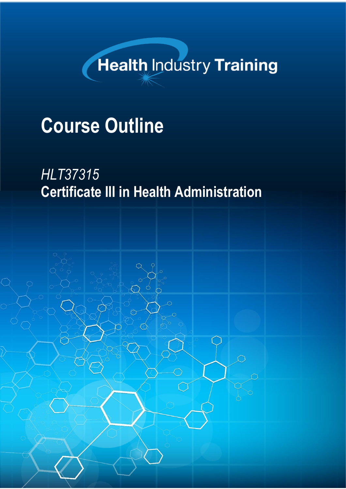# **Health Industry Training**

# **Course Outline**

## *HLT37315* **Certificate III in Health Administration**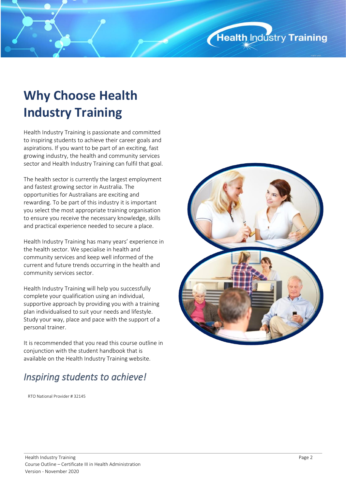### **Why Choose Health Industry Training**

Health Industry Training is passionate and committed to inspiring students to achieve their career goals and aspirations. If you want to be part of an exciting, fast growing industry, the health and community services sector and Health Industry Training can fulfil that goal.

The health sector is currently the largest employment and fastest growing sector in Australia. The opportunities for Australians are exciting and rewarding. To be part of this industry it is important you select the most appropriate training organisation to ensure you receive the necessary knowledge, skills and practical experience needed to secure a place.

Health Industry Training has many years' experience in the health sector. We specialise in health and community services and keep well informed of the current and future trends occurring in the health and community services sector.

Health Industry Training will help you successfully complete your qualification using an individual, supportive approach by providing you with a training plan individualised to suit your needs and lifestyle. Study your way, place and pace with the support of a personal trainer.

It is recommended that you read this course outline in conjunction with the student handbook that is available on the Health Industry Training website.

### *Inspiring students to achieve!*

RTO National Provider # 32145

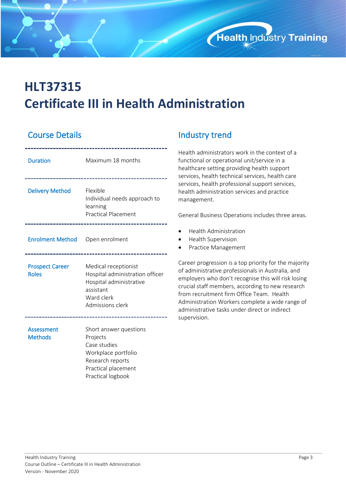

### **HLT37315 Certificate III in Health Administration**

#### **Course Details Course Act and Line Course Details**

| <b>Duration</b>                        | Maximum 18 months                                                                                                                         |
|----------------------------------------|-------------------------------------------------------------------------------------------------------------------------------------------|
| <b>Delivery Method</b>                 | Flexible<br>Individual needs approach to<br>learning<br><b>Practical Placement</b>                                                        |
| Enrolment Method Open enrolment        |                                                                                                                                           |
| <b>Prospect Career</b><br><b>Roles</b> | Medical receptionist<br>Hospital administration officer<br>Hospital administrative<br>assistant<br>Ward clerk<br>Admissions clerk         |
| Assessment<br><b>Methods</b>           | Short answer questions<br>Projects<br>Case studies<br>Workplace portfolio<br>Research reports<br>Practical placement<br>Practical logbook |

Health administrators work in the context of a functional or operational unit/service in a healthcare setting providing health support services, health technical services, health care services, health professional support services, health administration services and practice management.

General Business Operations includes three areas.

- Health Administration
- Health Supervision
- Practice Management

Career progression is a top priority for the majority of administrative professionals in Australia, and employers who don't recognise this will risk losing crucial staff members, according to new research from recruitment firm Office Team. Health Administration Workers complete a wide range of administrative tasks under direct or indirect supervision.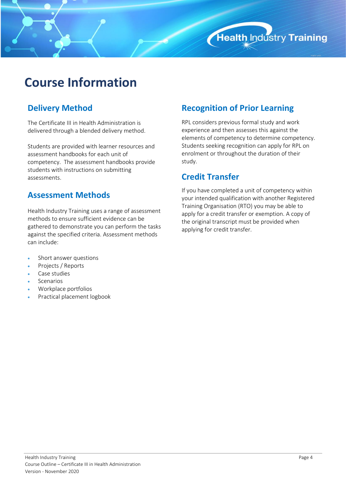

### **Course Information**

#### **Delivery Method**

The Certificate III in Health Administration is delivered through a blended delivery method.

Students are provided with learner resources and assessment handbooks for each unit of competency. The assessment handbooks provide students with instructions on submitting assessments.

#### **Assessment Methods**

Health Industry Training uses a range of assessment methods to ensure sufficient evidence can be gathered to demonstrate you can perform the tasks against the specified criteria. Assessment methods can include:

- Short answer questions
- Projects / Reports
- Case studies
- **Scenarios**
- Workplace portfolios
- Practical placement logbook

#### **Recognition of Prior Learning**

RPL considers previous formal study and work experience and then assesses this against the elements of competency to determine competency. Students seeking recognition can apply for RPL on enrolment or throughout the duration of their study.

#### **Credit Transfer**

If you have completed a unit of competency within your intended qualification with another Registered Training Organisation (RTO) you may be able to apply for a credit transfer or exemption. A copy of the original transcript must be provided when applying for credit transfer.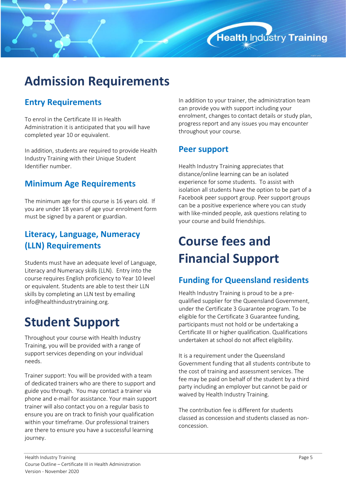### **Admission Requirements**

#### **Entry Requirements**

To enrol in the Certificate III in Health Administration it is anticipated that you will have completed year 10 or equivalent.

In addition, students are required to provide Health Industry Training with their Unique Student Identifier number.

#### **Minimum Age Requirements**

The minimum age for this course is 16 years old. If you are under 18 years of age your enrolment form must be signed by a parent or guardian.

#### **Literacy, Language, Numeracy (LLN) Requirements**

Students must have an adequate level of Language, Literacy and Numeracy skills (LLN). Entry into the course requires English proficiency to Year 10 level or equivalent. Students are able to test their LLN skills by completing an LLN test by emailing [info@healthindustrytraining.org.](mailto:info@healthindustrytraining.org)

### **Student Support**

Throughout your course with Health Industry Training, you will be provided with a range of support services depending on your individual needs.

Trainer support: You will be provided with a team of dedicated trainers who are there to support and guide you through. You may contact a trainer via phone and e-mail for assistance. Your main support trainer will also contact you on a regular basis to ensure you are on track to finish your qualification within your timeframe. Our professional trainers are there to ensure you have a successful learning journey.

In addition to your trainer, the administration team can provide you with support including your enrolment, changes to contact details or study plan, progress report and any issues you may encounter throughout your course.

Health Industry Training

#### **Peer support**

Health Industry Training appreciates that distance/online learning can be an isolated experience for some students. To assist with isolation all students have the option to be part of a Facebook peer support group. Peer support groups can be a positive experience where you can study with like-minded people, ask questions relating to your course and build friendships.

### **Course fees and Financial Support**

#### **Funding for Queensland residents**

Health Industry Training is proud to be a prequalified supplier for the Queensland Government, under the Certificate 3 Guarantee program. To be eligible for the Certificate 3 Guarantee funding, participants must not hold or be undertaking a Certificate III or higher qualification. Qualifications undertaken at school do not affect eligibility.

It is a requirement under the Queensland Government funding that all students contribute to the cost of training and assessment services. The fee may be paid on behalf of the student by a third party including an employer but cannot be paid or waived by Health Industry Training.

The contribution fee is different for students classed as concession and students classed as nonconcession.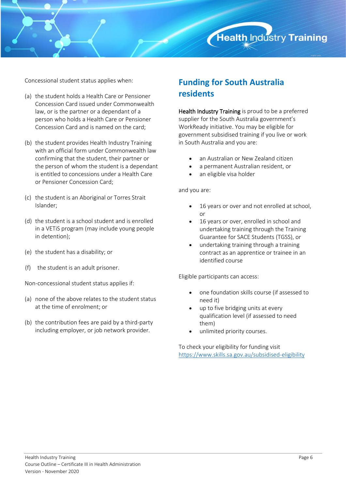

Concessional student status applies when:

- (a) the student holds a Health Care or Pensioner Concession Card issued under Commonwealth law, or is the partner or a dependant of a person who holds a Health Care or Pensioner Concession Card and is named on the card;
- (b) the student provides Health Industry Training with an official form under Commonwealth law confirming that the student, their partner or the person of whom the student is a dependant is entitled to concessions under a Health Care or Pensioner Concession Card;
- (c) the student is an Aboriginal or Torres Strait Islander;
- (d) the student is a school student and is enrolled in a VETiS program (may include young people in detention);
- (e) the student has a disability; or
- (f) the student is an adult prisoner.

Non-concessional student status applies if:

- (a) none of the above relates to the student status at the time of enrolment; or
- (b) the contribution fees are paid by a third-party including employer, or job network provider.

#### **Funding for South Australia residents**

Health Industry Training is proud to be a preferred supplier for the South Australia government's WorkReady initiative. You may be eligible for government subsidised training if you live or work in South Australia and you are:

- an Australian or New Zealand citizen
- a permanent Australian resident, or
- an eligible visa holder

and you are:

- 16 years or over and not enrolled at school, or
- 16 years or over, enrolled in school and undertaking training through the Training Guarantee for SACE Students (TGSS), or
- undertaking training through a training contract as an apprentice or trainee in an identified course

Eligible participants can access:

- one foundation skills course (if assessed to need it)
- up to five bridging units at every qualification level (if assessed to need them)
- unlimited priority courses.

To check your eligibility for funding visit <https://www.skills.sa.gov.au/subsidised-eligibility>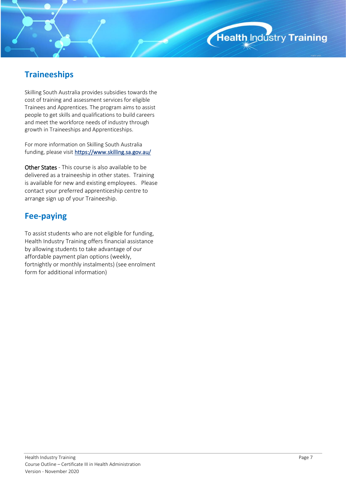#### **Traineeships**

Skilling South Australia provides subsidies towards the cost of training and assessment services for eligible Trainees and Apprentices. The program aims to assist people to get skills and qualifications to build careers and meet the workforce needs of industry through growth in Traineeships and Apprenticeships.

For more information on Skilling South Australia funding, please visit <https://www.skilling.sa.gov.au/>

Other States - This course is also available to be delivered as a traineeship in other states. Training is available for new and existing employees. Please contact your preferred apprenticeship centre to arrange sign up of your Traineeship.

#### **Fee-paying**

To assist students who are not eligible for funding, Health Industry Training offers financial assistance by allowing students to take advantage of our affordable payment plan options (weekly, fortnightly or monthly instalments) (see enrolment form for additional information)

Health Industry Training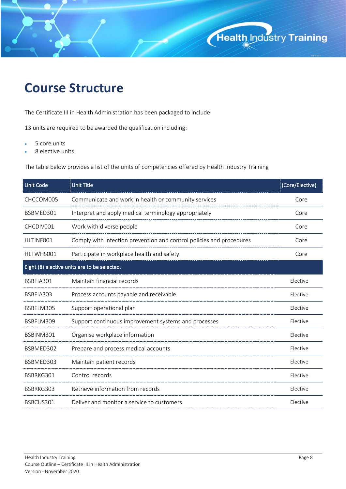### **Course Structure**

The Certificate III in Health Administration has been packaged to include:

13 units are required to be awarded the qualification including:

- 5 core units
- 8 elective units

The table below provides a list of the units of competencies offered by Health Industry Training

| Unit Code                                    | <b>Unit Title</b>                                                    | (Core/Elective) |
|----------------------------------------------|----------------------------------------------------------------------|-----------------|
| CHCCOM005                                    | Communicate and work in health or community services                 | Core            |
| BSBMED301                                    | Interpret and apply medical terminology appropriately                | Core            |
| CHCDIV001                                    | Work with diverse people                                             | Core            |
| HLTINF001                                    | Comply with infection prevention and control policies and procedures | Core            |
| HLTWHS001                                    | Participate in workplace health and safety                           | Core            |
| Eight (8) elective units are to be selected. |                                                                      |                 |
| BSBFIA301                                    | Maintain financial records                                           | Elective        |
| BSBFIA303                                    | Process accounts payable and receivable                              | Elective        |
| BSBFLM305                                    | Support operational plan                                             | Elective        |
| BSBFLM309                                    | Support continuous improvement systems and processes                 | Elective        |
| BSBINM301                                    | Organise workplace information                                       | Elective        |
| BSBMED302                                    | Prepare and process medical accounts                                 | Elective        |
| BSBMED303                                    | Maintain patient records                                             | Elective        |
| BSBRKG301                                    | Control records                                                      | Elective        |
| BSBRKG303                                    | Retrieve information from records                                    | Elective        |
| BSBCUS301                                    | Deliver and monitor a service to customers                           | Elective        |

Health Industry Training